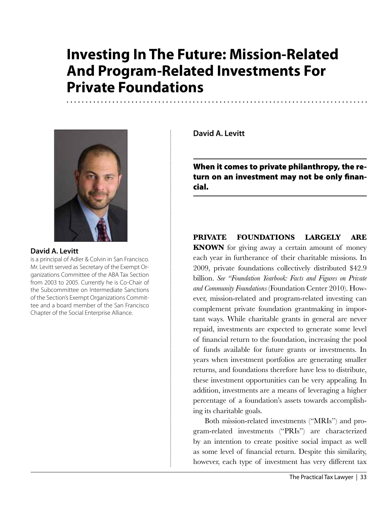# **Investing In The Future: Mission-Related And Program-Related Investments For Private Foundations**



## **David A. Levitt**

is a principal of Adler & Colvin in San Francisco. Mr. Levitt served as Secretary of the Exempt Organizations Committee of the ABA Tax Section from 2003 to 2005. Currently he is Co-Chair of the Subcommittee on Intermediate Sanctions of the Section's Exempt Organizations Committee and a board member of the San Francisco Chapter of the Social Enterprise Alliance.

**David A. Levitt**

When it comes to private philanthropy, the return on an investment may not be only financial.

# **Private foundations largely are**

**KNOWN** for giving away a certain amount of money each year in furtherance of their charitable missions. In 2009, private foundations collectively distributed \$42.9 billion. *See "Foundation Yearbook: Facts and Figures on Private and Community Foundations* (Foundation Center 2010). However, mission-related and program-related investing can complement private foundation grantmaking in important ways. While charitable grants in general are never repaid, investments are expected to generate some level of financial return to the foundation, increasing the pool of funds available for future grants or investments. In years when investment portfolios are generating smaller returns, and foundations therefore have less to distribute, these investment opportunities can be very appealing. In addition, investments are a means of leveraging a higher percentage of a foundation's assets towards accomplishing its charitable goals.

Both mission-related investments ("MRIs") and program-related investments ("PRIs") are characterized by an intention to create positive social impact as well as some level of financial return. Despite this similarity, however, each type of investment has very different tax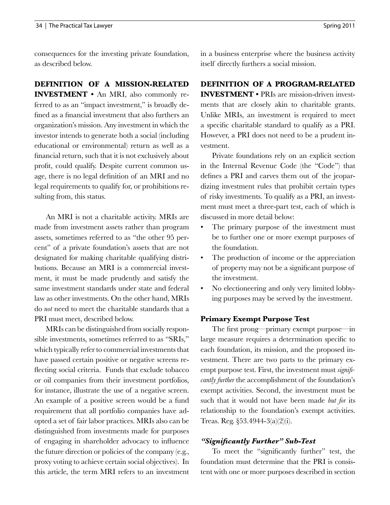consequences for the investing private foundation, as described below.

**Definition of A Mission-Related Investment •** An MRI, also commonly referred to as an "impact investment," is broadly defined as a financial investment that also furthers an organization's mission. Any investment in which the investor intends to generate both a social (including educational or environmental) return as well as a financial return, such that it is not exclusively about profit, could qualify. Despite current common usage, there is no legal definition of an MRI and no legal requirements to qualify for, or prohibitions resulting from, this status.

An MRI is not a charitable activity. MRIs are made from investment assets rather than program assets, sometimes referred to as "the other 95 percent" of a private foundation's assets that are not designated for making charitable qualifying distributions. Because an MRI is a commercial investment, it must be made prudently and satisfy the same investment standards under state and federal law as other investments. On the other hand, MRIs do *not* need to meet the charitable standards that a PRI must meet, described below.

MRIs can be distinguished from socially responsible investments, sometimes referred to as "SRIs," which typically refer to commercial investments that have passed certain positive or negative screens reflecting social criteria. Funds that exclude tobacco or oil companies from their investment portfolios, for instance, illustrate the use of a negative screen. An example of a positive screen would be a fund requirement that all portfolio companies have adopted a set of fair labor practices. MRIs also can be distinguished from investments made for purposes of engaging in shareholder advocacy to influence the future direction or policies of the company (e.g., proxy voting to achieve certain social objectives). In this article, the term MRI refers to an investment in a business enterprise where the business activity itself directly furthers a social mission.

# **Definition of A Program-Related**

**INVESTMENT •** PRIs are mission-driven investments that are closely akin to charitable grants. Unlike MRIs, an investment is required to meet a specific charitable standard to qualify as a PRI. However, a PRI does not need to be a prudent investment.

Private foundations rely on an explicit section in the Internal Revenue Code (the "Code") that defines a PRI and carves them out of the jeopardizing investment rules that prohibit certain types of risky investments. To qualify as a PRI, an investment must meet a three-part test, each of which is discussed in more detail below:

- The primary purpose of the investment must be to further one or more exempt purposes of the foundation.
- The production of income or the appreciation of property may not be a significant purpose of the investment.
- No electioneering and only very limited lobbying purposes may be served by the investment.

## **Primary Exempt Purpose Test**

The first prong—primary exempt purpose—in large measure requires a determination specific to each foundation, its mission, and the proposed investment. There are two parts to the primary exempt purpose test. First, the investment must *significantly further* the accomplishment of the foundation's exempt activities. Second, the investment must be such that it would not have been made *but for* its relationship to the foundation's exempt activities. Treas. Reg. §53.4944-3(a)(2)(i).

## *"Significantly Further" Sub-Test*

To meet the "significantly further" test, the foundation must determine that the PRI is consistent with one or more purposes described in section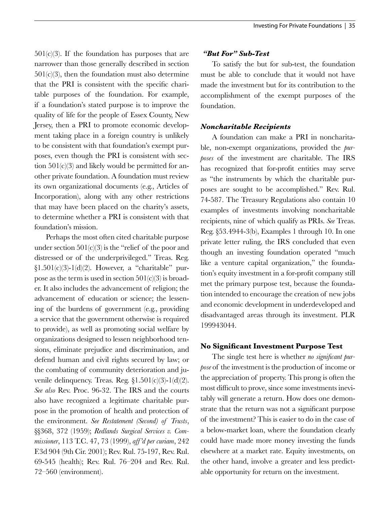$501(c)(3)$ . If the foundation has purposes that are narrower than those generally described in section  $501(c)(3)$ , then the foundation must also determine that the PRI is consistent with the specific charitable purposes of the foundation. For example, if a foundation's stated purpose is to improve the quality of life for the people of Essex County, New Jersey, then a PRI to promote economic development taking place in a foreign country is unlikely to be consistent with that foundation's exempt purposes, even though the PRI is consistent with section 501(c)(3) and likely would be permitted for another private foundation. A foundation must review its own organizational documents (e.g., Articles of Incorporation), along with any other restrictions that may have been placed on the charity's assets, to determine whether a PRI is consistent with that foundation's mission.

Perhaps the most often cited charitable purpose under section  $501(c)(3)$  is the "relief of the poor and distressed or of the underprivileged." Treas. Reg.  $\S1.501(c)(3)-1(d)(2)$ . However, a "charitable" purpose as the term is used in section  $501(c)(3)$  is broader. It also includes the advancement of religion; the advancement of education or science; the lessening of the burdens of government (e.g., providing a service that the government otherwise is required to provide), as well as promoting social welfare by organizations designed to lessen neighborhood tensions, eliminate prejudice and discrimination, and defend human and civil rights secured by law; or the combating of community deterioration and juvenile delinquency. Treas. Reg.  $\S1.501(c)(3)-1(d)(2)$ . *See also* Rev. Proc. 96-32. The IRS and the courts also have recognized a legitimate charitable purpose in the promotion of health and protection of the environment. *See Restatement (Second) of Trusts*, §§368, 372 (1959); *Redlands Surgical Services v. Commissioner*, 113 T.C. 47, 73 (1999), *aff'd per curiam*, 242 F.3d 904 (9th Cir. 2001); Rev. Rul. 75-197, Rev. Rul. 69-545 (health); Rev. Rul. 76–204 and Rev. Rul. 72–560 (environment).

## *"But For" Sub-Test*

To satisfy the but for sub-test, the foundation must be able to conclude that it would not have made the investment but for its contribution to the accomplishment of the exempt purposes of the foundation.

## *Noncharitable Recipients*

A foundation can make a PRI in noncharitable, non-exempt organizations, provided the *purposes* of the investment are charitable. The IRS has recognized that for-profit entities may serve as "the instruments by which the charitable purposes are sought to be accomplished." Rev. Rul. 74-587. The Treasury Regulations also contain 10 examples of investments involving noncharitable recipients, nine of which qualify as PRIs. *See* Treas. Reg. §53.4944-3(b), Examples 1 through 10. In one private letter ruling, the IRS concluded that even though an investing foundation operated "much like a venture capital organization," the foundation's equity investment in a for-profit company still met the primary purpose test, because the foundation intended to encourage the creation of new jobs and economic development in underdeveloped and disadvantaged areas through its investment. PLR 199943044.

#### **No Significant Investment Purpose Test**

The single test here is whether *no significant purpose* of the investment is the production of income or the appreciation of property. This prong is often the most difficult to prove, since some investments inevitably will generate a return. How does one demonstrate that the return was not a significant purpose of the investment? This is easier to do in the case of a below-market loan, where the foundation clearly could have made more money investing the funds elsewhere at a market rate. Equity investments, on the other hand, involve a greater and less predictable opportunity for return on the investment.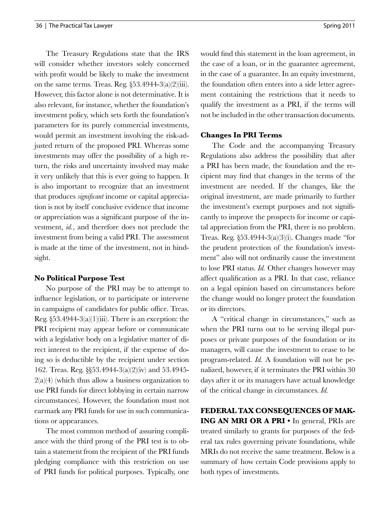The Treasury Regulations state that the IRS will consider whether investors solely concerned with profit would be likely to make the investment on the same terms. Treas. Reg.  $\S 53.4944-3(a)(2)(iii)$ . However, this factor alone is not determinative. It is also relevant, for instance, whether the foundation's investment policy, which sets forth the foundation's parameters for its purely commercial investments, would permit an investment involving the risk-adjusted return of the proposed PRI. Whereas some investments may offer the possibility of a high return, the risks and uncertainty involved may make it very unlikely that this is ever going to happen. It is also important to recognize that an investment that produces *significant* income or capital appreciation is not by itself conclusive evidence that income or appreciation was a significant purpose of the investment, *id.*, and therefore does not preclude the investment from being a valid PRI. The assessment is made at the time of the investment, not in hindsight.

## **No Political Purpose Test**

No purpose of the PRI may be to attempt to influence legislation, or to participate or intervene in campaigns of candidates for public office. Treas. Reg.  $\S 53.4944-3(a)(1)(iii)$ . There is an exception: the PRI recipient may appear before or communicate with a legislative body on a legislative matter of direct interest to the recipient, if the expense of doing so is deductible by the recipient under section 162. Treas. Reg. §§53.4944-3(a)(2)(iv) and 53.4945-  $2(a)(4)$  (which thus allow a business organization to use PRI funds for direct lobbying in certain narrow circumstances). However, the foundation must not earmark any PRI funds for use in such communications or appearances.

The most common method of assuring compliance with the third prong of the PRI test is to obtain a statement from the recipient of the PRI funds pledging compliance with this restriction on use of PRI funds for political purposes. Typically, one would find this statement in the loan agreement, in the case of a loan, or in the guarantee agreement, in the case of a guarantee. In an equity investment, the foundation often enters into a side letter agreement containing the restrictions that it needs to qualify the investment as a PRI, if the terms will not be included in the other transaction documents.

## **Changes In PRI Terms**

The Code and the accompanying Treasury Regulations also address the possibility that after a PRI has been made, the foundation and the recipient may find that changes in the terms of the investment are needed. If the changes, like the original investment, are made primarily to further the investment's exempt purposes and not significantly to improve the prospects for income or capital appreciation from the PRI, there is no problem. Treas. Reg. §53.4944-3(a)(3)(i). Changes made "for the prudent protection of the foundation's investment" also will not ordinarily cause the investment to lose PRI status. *Id.* Other changes however may affect qualification as a PRI. In that case, reliance on a legal opinion based on circumstances before the change would no longer protect the foundation or its directors.

A "critical change in circumstances," such as when the PRI turns out to be serving illegal purposes or private purposes of the foundation or its managers, will cause the investment to cease to be program-related. *Id.* A foundation will not be penalized, however, if it terminates the PRI within 30 days after it or its managers have actual knowledge of the critical change in circumstances. *Id.*

**Federal Tax Consequences Of Making An MRI or a PRI •** In general, PRIs are treated similarly to grants for purposes of the federal tax rules governing private foundations, while MRIs do not receive the same treatment. Below is a summary of how certain Code provisions apply to both types of investments.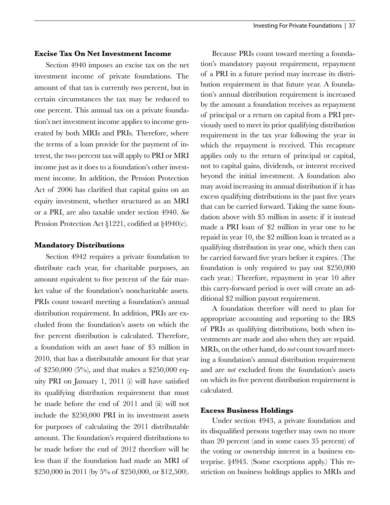## **Excise Tax On Net Investment Income**

Section 4940 imposes an excise tax on the net investment income of private foundations. The amount of that tax is currently two percent, but in certain circumstances the tax may be reduced to one percent. This annual tax on a private foundation's net investment income applies to income generated by both MRIs and PRIs. Therefore, where the terms of a loan provide for the payment of interest, the two percent tax will apply to PRI or MRI income just as it does to a foundation's other investment income. In addition, the Pension Protection Act of 2006 has clarified that capital gains on an equity investment, whether structured as an MRI or a PRI, are also taxable under section 4940. *See* Pension Protection Act §1221, codified at §4940(c).

#### **Mandatory Distributions**

Section 4942 requires a private foundation to distribute each year, for charitable purposes, an amount equivalent to five percent of the fair market value of the foundation's noncharitable assets. PRIs count toward meeting a foundation's annual distribution requirement. In addition, PRIs are excluded from the foundation's assets on which the five percent distribution is calculated. Therefore, a foundation with an asset base of \$5 million in 2010, that has a distributable amount for that year of \$250,000 (5%), and that makes a \$250,000 equity PRI on January 1, 2011 (i) will have satisfied its qualifying distribution requirement that must be made before the end of 2011 and (ii) will not include the \$250,000 PRI in its investment assets for purposes of calculating the 2011 distributable amount. The foundation's required distributions to be made before the end of 2012 therefore will be less than if the foundation had made an MRI of \$250,000 in 2011 (by 5% of \$250,000, or \$12,500).

Because PRIs count toward meeting a foundation's mandatory payout requirement, repayment of a PRI in a future period may increase its distribution requirement in that future year. A foundation's annual distribution requirement is increased by the amount a foundation receives as repayment of principal or a return on capital from a PRI previously used to meet its prior qualifying distribution requirement in the tax year following the year in which the repayment is received. This recapture applies only to the return of principal or capital, not to capital gains, dividends, or interest received beyond the initial investment. A foundation also may avoid increasing its annual distribution if it has excess qualifying distributions in the past five years that can be carried forward. Taking the same foundation above with \$5 million in assets: if it instead made a PRI loan of \$2 million in year one to be repaid in year 10, the \$2 million loan is treated as a qualifying distribution in year one, which then can be carried forward five years before it expires. (The foundation is only required to pay out \$250,000 each year.) Therefore, repayment in year 10 after this carry-forward period is over will create an additional \$2 million payout requirement.

A foundation therefore will need to plan for appropriate accounting and reporting to the IRS of PRIs as qualifying distributions, both when investments are made and also when they are repaid. MRIs, on the other hand, do *not* count toward meeting a foundation's annual distribution requirement and are *not* excluded from the foundation's assets on which its five percent distribution requirement is calculated.

#### **Excess Business Holdings**

Under section 4943, a private foundation and its disqualified persons together may own no more than 20 percent (and in some cases 35 percent) of the voting or ownership interest in a business enterprise. §4943. (Some exceptions apply.) This restriction on business holdings applies to MRIs and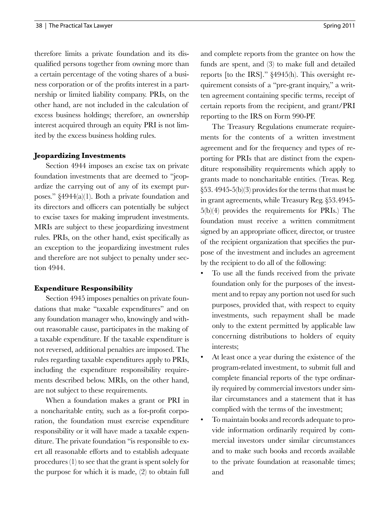therefore limits a private foundation and its disqualified persons together from owning more than a certain percentage of the voting shares of a business corporation or of the profits interest in a partnership or limited liability company. PRIs, on the other hand, are not included in the calculation of excess business holdings; therefore, an ownership interest acquired through an equity PRI is not limited by the excess business holding rules.

## **Jeopardizing Investments**

Section 4944 imposes an excise tax on private foundation investments that are deemed to "jeopardize the carrying out of any of its exempt purposes." §4944(a)(1). Both a private foundation and its directors and officers can potentially be subject to excise taxes for making imprudent investments. MRIs are subject to these jeopardizing investment rules. PRIs, on the other hand, exist specifically as an exception to the jeopardizing investment rules and therefore are not subject to penalty under section 4944.

## **Expenditure Responsibility**

Section 4945 imposes penalties on private foundations that make "taxable expenditures" and on any foundation manager who, knowingly and without reasonable cause, participates in the making of a taxable expenditure. If the taxable expenditure is not reversed, additional penalties are imposed. The rules regarding taxable expenditures apply to PRIs, including the expenditure responsibility requirements described below. MRIs, on the other hand, are not subject to these requirements.

When a foundation makes a grant or PRI in a noncharitable entity, such as a for-profit corporation, the foundation must exercise expenditure responsibility or it will have made a taxable expenditure. The private foundation "is responsible to exert all reasonable efforts and to establish adequate procedures (1) to see that the grant is spent solely for the purpose for which it is made, (2) to obtain full and complete reports from the grantee on how the funds are spent, and (3) to make full and detailed reports [to the IRS]." §4945(h). This oversight requirement consists of a "pre-grant inquiry," a written agreement containing specific terms, receipt of certain reports from the recipient, and grant/PRI reporting to the IRS on Form 990-PF.

The Treasury Regulations enumerate requirements for the contents of a written investment agreement and for the frequency and types of reporting for PRIs that are distinct from the expenditure responsibility requirements which apply to grants made to noncharitable entities. (Treas. Reg. §53. 4945-5(b)(3) provides for the terms that must be in grant agreements, while Treasury Reg. §53.4945- 5(b)(4) provides the requirements for PRIs.) The foundation must receive a written commitment signed by an appropriate officer, director, or trustee of the recipient organization that specifies the purpose of the investment and includes an agreement by the recipient to do all of the following:

- To use all the funds received from the private foundation only for the purposes of the investment and to repay any portion not used for such purposes, provided that, with respect to equity investments, such repayment shall be made only to the extent permitted by applicable law concerning distributions to holders of equity interests;
- At least once a year during the existence of the program-related investment, to submit full and complete financial reports of the type ordinarily required by commercial investors under similar circumstances and a statement that it has complied with the terms of the investment;
- To maintain books and records adequate to provide information ordinarily required by commercial investors under similar circumstances and to make such books and records available to the private foundation at reasonable times; and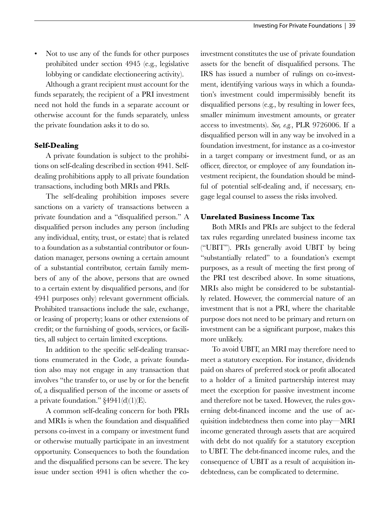• Not to use any of the funds for other purposes prohibited under section 4945 (e.g., legislative lobbying or candidate electioneering activity).

Although a grant recipient must account for the funds separately, the recipient of a PRI investment need not hold the funds in a separate account or otherwise account for the funds separately, unless the private foundation asks it to do so.

# **Self-Dealing**

A private foundation is subject to the prohibitions on self-dealing described in section 4941. Selfdealing prohibitions apply to all private foundation transactions, including both MRIs and PRIs*.*

The self-dealing prohibition imposes severe sanctions on a variety of transactions between a private foundation and a "disqualified person." A disqualified person includes any person (including any individual, entity, trust, or estate) that is related to a foundation as a substantial contributor or foundation manager, persons owning a certain amount of a substantial contributor, certain family members of any of the above, persons that are owned to a certain extent by disqualified persons, and (for 4941 purposes only) relevant government officials. Prohibited transactions include the sale, exchange, or leasing of property; loans or other extensions of credit; or the furnishing of goods, services, or facilities, all subject to certain limited exceptions.

In addition to the specific self-dealing transactions enumerated in the Code, a private foundation also may not engage in any transaction that involves "the transfer to, or use by or for the benefit of, a disqualified person of the income or assets of a private foundation."  $\S 4941(d)(1)(E)$ .

A common self-dealing concern for both PRIs and MRIs is when the foundation and disqualified persons co-invest in a company or investment fund or otherwise mutually participate in an investment opportunity. Consequences to both the foundation and the disqualified persons can be severe. The key issue under section 4941 is often whether the coinvestment constitutes the use of private foundation assets for the benefit of disqualified persons. The IRS has issued a number of rulings on co-investment, identifying various ways in which a foundation's investment could impermissibly benefit its disqualified persons (e.g., by resulting in lower fees, smaller minimum investment amounts, or greater access to investments). *See, e.g.*, PLR 9726006. If a disqualified person will in any way be involved in a foundation investment, for instance as a co-investor in a target company or investment fund, or as an officer, director, or employee of any foundation investment recipient, the foundation should be mindful of potential self-dealing and, if necessary, engage legal counsel to assess the risks involved.

# **Unrelated Business Income Tax**

Both MRIs and PRIs are subject to the federal tax rules regarding unrelated business income tax ("UBIT"). PRIs generally avoid UBIT by being "substantially related" to a foundation's exempt purposes, as a result of meeting the first prong of the PRI test described above. In some situations, MRIs also might be considered to be substantially related. However, the commercial nature of an investment that is not a PRI, where the charitable purpose does not need to be primary and return on investment can be a significant purpose, makes this more unlikely.

To avoid UBIT, an MRI may therefore need to meet a statutory exception. For instance, dividends paid on shares of preferred stock or profit allocated to a holder of a limited partnership interest may meet the exception for passive investment income and therefore not be taxed. However, the rules governing debt-financed income and the use of acquisition indebtedness then come into play—MRI income generated through assets that are acquired with debt do not qualify for a statutory exception to UBIT. The debt-financed income rules, and the consequence of UBIT as a result of acquisition indebtedness, can be complicated to determine.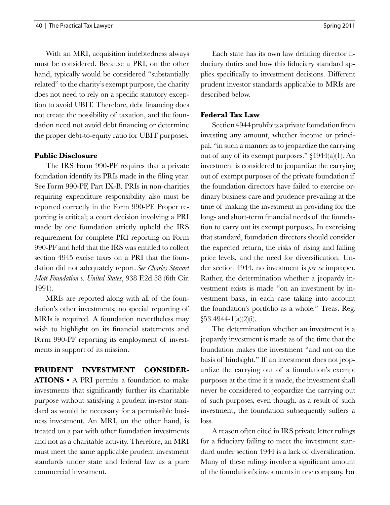With an MRI, acquisition indebtedness always must be considered. Because a PRI, on the other hand, typically would be considered "substantially related" to the charity's exempt purpose, the charity does not need to rely on a specific statutory exception to avoid UBIT. Therefore, debt financing does not create the possibility of taxation, and the foundation need not avoid debt financing or determine the proper debt-to-equity ratio for UBIT purposes.

## **Public Disclosure**

The IRS Form 990-PF requires that a private foundation identify its PRIs made in the filing year. See Form 990-PF, Part IX-B. PRIs in non-charities requiring expenditure responsibility also must be reported correctly in the Form 990-PF. Proper reporting is critical; a court decision involving a PRI made by one foundation strictly upheld the IRS requirement for complete PRI reporting on Form 990-PF and held that the IRS was entitled to collect section 4945 excise taxes on a PRI that the foundation did not adequately report. *See Charles Stewart Mott Foundation v. United States*, 938 F.2d 58 (6th Cir. 1991).

MRIs are reported along with all of the foundation's other investments; no special reporting of MRIs is required. A foundation nevertheless may wish to highlight on its financial statements and Form 990-PF reporting its employment of investments in support of its mission.

**Prudent Investment Considerations •** A PRI permits a foundation to make investments that significantly further its charitable purpose without satisfying a prudent investor standard as would be necessary for a permissible business investment. An MRI, on the other hand, is treated on a par with other foundation investments and not as a charitable activity. Therefore, an MRI must meet the same applicable prudent investment standards under state and federal law as a pure commercial investment.

Each state has its own law defining director fiduciary duties and how this fiduciary standard applies specifically to investment decisions. Different prudent investor standards applicable to MRIs are described below.

#### **Federal Tax Law**

Section 4944 prohibits a private foundation from investing any amount, whether income or principal, "in such a manner as to jeopardize the carrying out of any of its exempt purposes." §4944(a)(1). An investment is considered to jeopardize the carrying out of exempt purposes of the private foundation if the foundation directors have failed to exercise ordinary business care and prudence prevailing at the time of making the investment in providing for the long- and short-term financial needs of the foundation to carry out its exempt purposes. In exercising that standard, foundation directors should consider the expected return, the risks of rising and falling price levels, and the need for diversification. Under section 4944, no investment is *per se* improper. Rather, the determination whether a jeopardy investment exists is made "on an investment by investment basis, in each case taking into account the foundation's portfolio as a whole." Treas. Reg. §53.4944-1(a)(2)(i).

The determination whether an investment is a jeopardy investment is made as of the time that the foundation makes the investment "and not on the basis of hindsight." If an investment does not jeopardize the carrying out of a foundation's exempt purposes at the time it is made, the investment shall never be considered to jeopardize the carrying out of such purposes, even though, as a result of such investment, the foundation subsequently suffers a loss.

A reason often cited in IRS private letter rulings for a fiduciary failing to meet the investment standard under section 4944 is a lack of diversification. Many of these rulings involve a significant amount of the foundation's investments in one company. For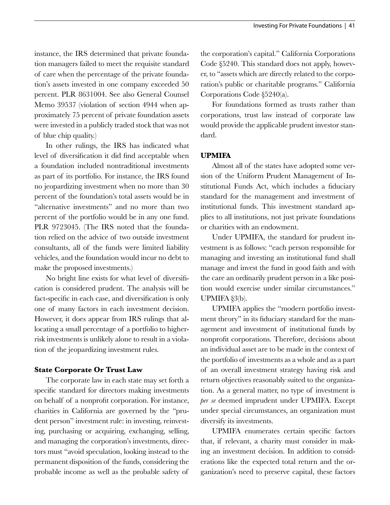instance, the IRS determined that private foundation managers failed to meet the requisite standard of care when the percentage of the private foundation's assets invested in one company exceeded 50 percent. PLR 8631004. See also General Counsel Memo 39537 (violation of section 4944 when approximately 75 percent of private foundation assets were invested in a publicly traded stock that was not of blue chip quality.)

In other rulings, the IRS has indicated what level of diversification it did find acceptable when a foundation included nontraditional investments as part of its portfolio. For instance, the IRS found no jeopardizing investment when no more than 30 percent of the foundation's total assets would be in "alternative investments" and no more than two percent of the portfolio would be in any one fund. PLR 9723045. (The IRS noted that the foundation relied on the advice of two outside investment consultants, all of the funds were limited liability vehicles, and the foundation would incur no debt to make the proposed investments.)

No bright line exists for what level of diversification is considered prudent. The analysis will be fact-specific in each case, and diversification is only one of many factors in each investment decision. However, it does appear from IRS rulings that allocating a small percentage of a portfolio to higherrisk investments is unlikely alone to result in a violation of the jeopardizing investment rules.

## **State Corporate Or Trust Law**

The corporate law in each state may set forth a specific standard for directors making investments on behalf of a nonprofit corporation. For instance, charities in California are governed by the "prudent person" investment rule: in investing, reinvesting, purchasing or acquiring, exchanging, selling, and managing the corporation's investments, directors must "avoid speculation, looking instead to the permanent disposition of the funds, considering the probable income as well as the probable safety of the corporation's capital." California Corporations Code §5240. This standard does not apply, however, to "assets which are directly related to the corporation's public or charitable programs." California Corporations Code §5240(a).

For foundations formed as trusts rather than corporations, trust law instead of corporate law would provide the applicable prudent investor standard.

## **UPMIFA**

Almost all of the states have adopted some version of the Uniform Prudent Management of Institutional Funds Act, which includes a fiduciary standard for the management and investment of institutional funds. This investment standard applies to all institutions, not just private foundations or charities with an endowment.

Under UPMIFA, the standard for prudent investment is as follows: "each person responsible for managing and investing an institutional fund shall manage and invest the fund in good faith and with the care an ordinarily prudent person in a like position would exercise under similar circumstances." UPMIFA §3(b).

UPMIFA applies the "modern portfolio investment theory" in its fiduciary standard for the management and investment of institutional funds by nonprofit corporations. Therefore, decisions about an individual asset are to be made in the context of the portfolio of investments as a whole and as a part of an overall investment strategy having risk and return objectives reasonably suited to the organization. As a general matter, no type of investment is *per se* deemed imprudent under UPMIFA. Except under special circumstances, an organization must diversify its investments.

UPMIFA enumerates certain specific factors that, if relevant, a charity must consider in making an investment decision. In addition to considerations like the expected total return and the organization's need to preserve capital, these factors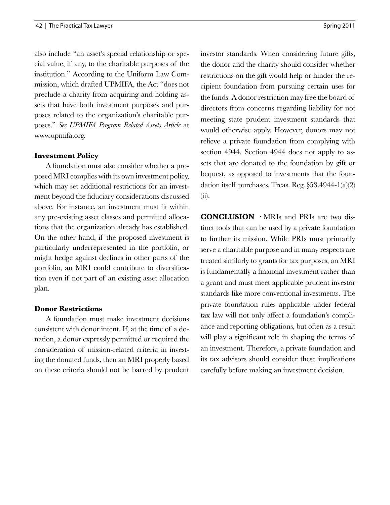also include "an asset's special relationship or special value, if any, to the charitable purposes of the institution." According to the Uniform Law Commission, which drafted UPMIFA, the Act "does not preclude a charity from acquiring and holding assets that have both investment purposes and purposes related to the organization's charitable purposes." *See UPMIFA Program Related Assets Article* at www.upmifa.org.

## **Investment Policy**

A foundation must also consider whether a proposed MRI complies with its own investment policy, which may set additional restrictions for an investment beyond the fiduciary considerations discussed above. For instance, an investment must fit within any pre-existing asset classes and permitted allocations that the organization already has established. On the other hand, if the proposed investment is particularly underrepresented in the portfolio, or might hedge against declines in other parts of the portfolio, an MRI could contribute to diversification even if not part of an existing asset allocation plan.

## **Donor Restrictions**

A foundation must make investment decisions consistent with donor intent. If, at the time of a donation, a donor expressly permitted or required the consideration of mission-related criteria in investing the donated funds, then an MRI properly based on these criteria should not be barred by prudent investor standards. When considering future gifts, the donor and the charity should consider whether restrictions on the gift would help or hinder the recipient foundation from pursuing certain uses for the funds. A donor restriction may free the board of directors from concerns regarding liability for not meeting state prudent investment standards that would otherwise apply. However, donors may not relieve a private foundation from complying with section 4944. Section 4944 does not apply to assets that are donated to the foundation by gift or bequest, as opposed to investments that the foundation itself purchases. Treas. Reg. §53.4944-1(a)(2) (ii).

**Conclusion ·** MRIs and PRIs are two distinct tools that can be used by a private foundation to further its mission. While PRIs must primarily serve a charitable purpose and in many respects are treated similarly to grants for tax purposes, an MRI is fundamentally a financial investment rather than a grant and must meet applicable prudent investor standards like more conventional investments. The private foundation rules applicable under federal tax law will not only affect a foundation's compliance and reporting obligations, but often as a result will play a significant role in shaping the terms of an investment. Therefore, a private foundation and its tax advisors should consider these implications carefully before making an investment decision.